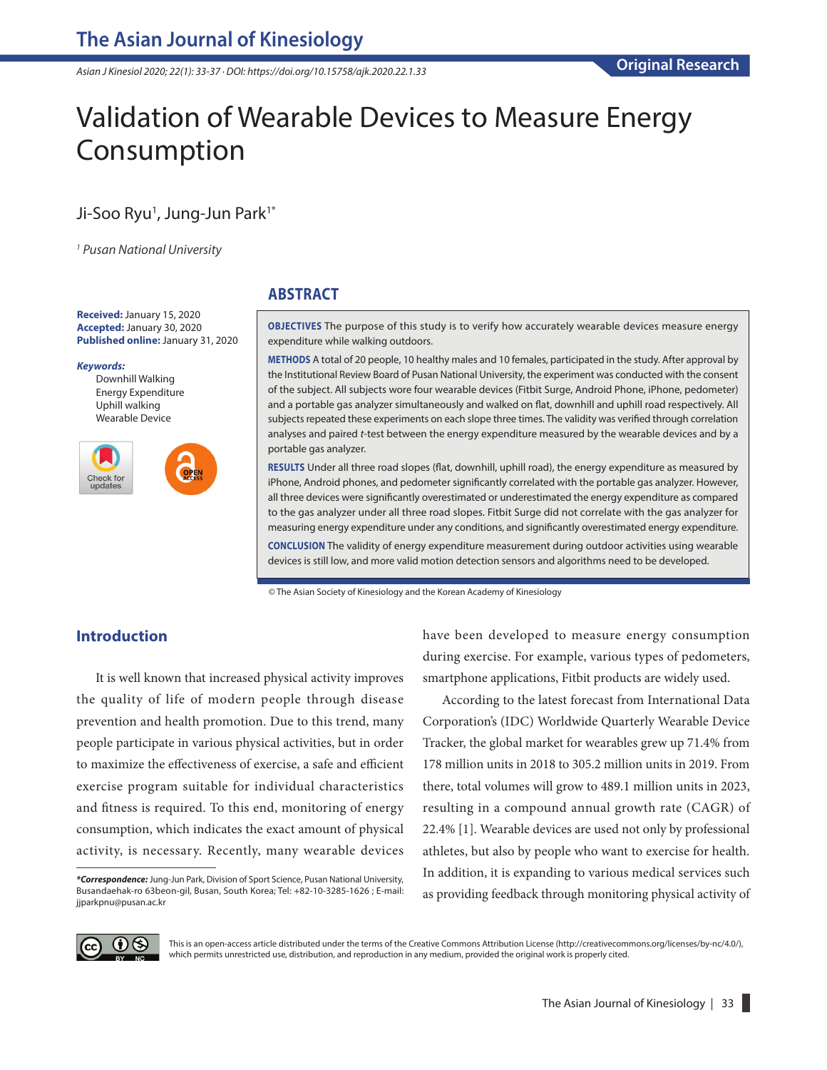*Asian J Kinesiol 2020; 22(1): 33-37 · DOI: https://doi.org/10.15758/ajk.2020.22.1.33*

# Validation of Wearable Devices to Measure Energy Consumption

## Ji-Soo Ryu<sup>1</sup>, Jung-Jun Park<sup>1\*</sup>

*1 Pusan National University* 

**Received:** January 15, 2020 **Accepted:** January 30, 2020 **Published online:** January 31, 2020

#### *Keywords:*

Downhill Walking Energy Expenditure Uphill walking Wearable Device



## **ABSTRACT**

**OBJECTIVES** The purpose of this study is to verify how accurately wearable devices measure energy expenditure while walking outdoors.

**METHODS** A total of 20 people, 10 healthy males and 10 females, participated in the study. After approval by the Institutional Review Board of Pusan National University, the experiment was conducted with the consent of the subject. All subjects wore four wearable devices (Fitbit Surge, Android Phone, iPhone, pedometer) and a portable gas analyzer simultaneously and walked on flat, downhill and uphill road respectively. All subjects repeated these experiments on each slope three times. The validity was verified through correlation analyses and paired *t*-test between the energy expenditure measured by the wearable devices and by a portable gas analyzer.

**RESULTS** Under all three road slopes (flat, downhill, uphill road), the energy expenditure as measured by iPhone, Android phones, and pedometer significantly correlated with the portable gas analyzer. However, all three devices were significantly overestimated or underestimated the energy expenditure as compared to the gas analyzer under all three road slopes. Fitbit Surge did not correlate with the gas analyzer for measuring energy expenditure under any conditions, and significantly overestimated energy expenditure. **CONCLUSION** The validity of energy expenditure measurement during outdoor activities using wearable devices is still low, and more valid motion detection sensors and algorithms need to be developed.

© The Asian Society of Kinesiology and the Korean Academy of Kinesiology

## **Introduction**

It is well known that increased physical activity improves the quality of life of modern people through disease prevention and health promotion. Due to this trend, many people participate in various physical activities, but in order to maximize the effectiveness of exercise, a safe and efficient exercise program suitable for individual characteristics and fitness is required. To this end, monitoring of energy consumption, which indicates the exact amount of physical activity, is necessary. Recently, many wearable devices have been developed to measure energy consumption during exercise. For example, various types of pedometers, smartphone applications, Fitbit products are widely used.

According to the latest forecast from International Data Corporation's (IDC) Worldwide Quarterly Wearable Device Tracker, the global market for wearables grew up 71.4% from 178 million units in 2018 to 305.2 million units in 2019. From there, total volumes will grow to 489.1 million units in 2023, resulting in a compound annual growth rate (CAGR) of 22.4% [1]. Wearable devices are used not only by professional athletes, but also by people who want to exercise for health. In addition, it is expanding to various medical services such as providing feedback through monitoring physical activity of



This is an open-access article distributed under the terms of the Creative Commons Attribution License (http://creativecommons.org/licenses/by-nc/4.0/), which permits unrestricted use, distribution, and reproduction in any medium, provided the original work is properly cited.

*<sup>\*</sup>Correspondence:* Jung-Jun Park, Division of Sport Science, Pusan National University, Busandaehak-ro 63beon-gil, Busan, South Korea; Tel: +82-10-3285-1626 ; E-mail: jjparkpnu@pusan.ac.kr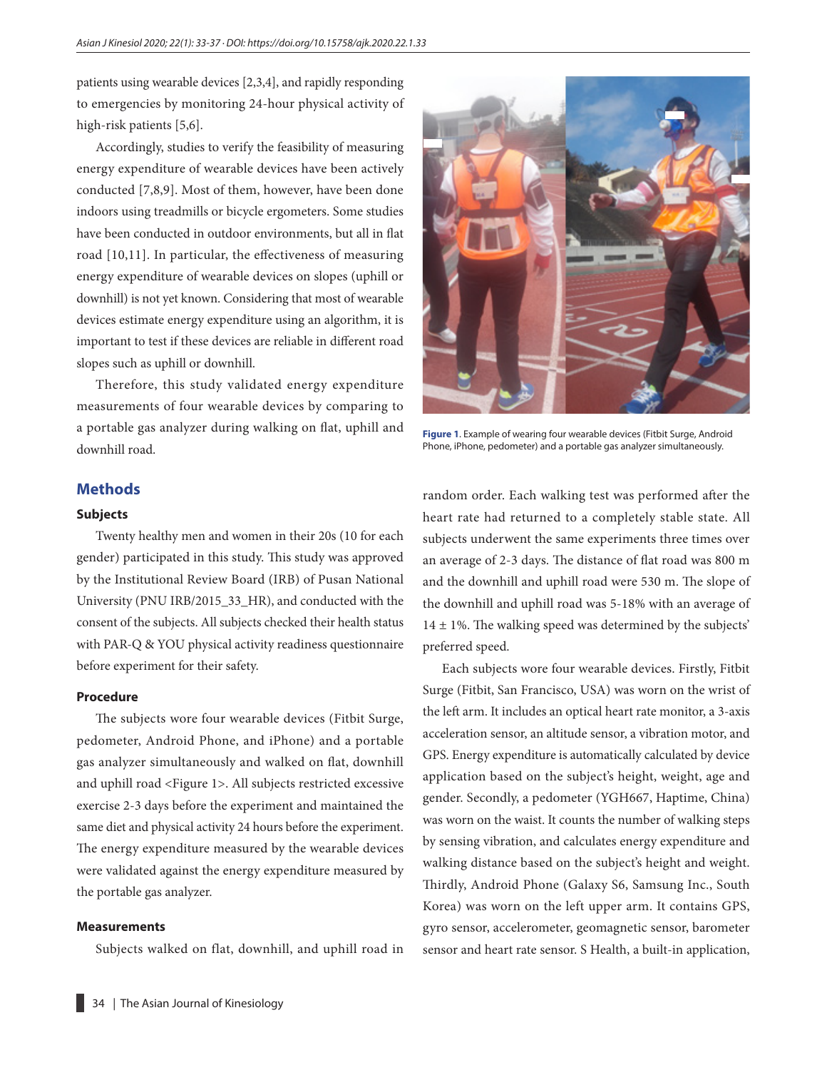patients using wearable devices [2,3,4], and rapidly responding to emergencies by monitoring 24-hour physical activity of high-risk patients [5,6].

Accordingly, studies to verify the feasibility of measuring energy expenditure of wearable devices have been actively conducted [7,8,9]. Most of them, however, have been done indoors using treadmills or bicycle ergometers. Some studies have been conducted in outdoor environments, but all in flat road [10,11]. In particular, the effectiveness of measuring energy expenditure of wearable devices on slopes (uphill or downhill) is not yet known. Considering that most of wearable devices estimate energy expenditure using an algorithm, it is important to test if these devices are reliable in different road slopes such as uphill or downhill.

Therefore, this study validated energy expenditure measurements of four wearable devices by comparing to a portable gas analyzer during walking on flat, uphill and downhill road.

#### **Methods**

#### **Subjects**

Twenty healthy men and women in their 20s (10 for each gender) participated in this study. This study was approved by the Institutional Review Board (IRB) of Pusan National University (PNU IRB/2015\_33\_HR), and conducted with the consent of the subjects. All subjects checked their health status with PAR-Q & YOU physical activity readiness questionnaire before experiment for their safety.

#### **Procedure**

The subjects wore four wearable devices (Fitbit Surge, pedometer, Android Phone, and iPhone) and a portable gas analyzer simultaneously and walked on flat, downhill and uphill road <Figure 1>. All subjects restricted excessive exercise 2-3 days before the experiment and maintained the same diet and physical activity 24 hours before the experiment. The energy expenditure measured by the wearable devices were validated against the energy expenditure measured by the portable gas analyzer.

#### **Measurements**

Subjects walked on flat, downhill, and uphill road in



**Figure 1**. Example of wearing four wearable devices (Fitbit Surge, Android Phone, iPhone, pedometer) and a portable gas analyzer simultaneously.

random order. Each walking test was performed after the heart rate had returned to a completely stable state. All subjects underwent the same experiments three times over an average of 2-3 days. The distance of flat road was 800 m and the downhill and uphill road were 530 m. The slope of the downhill and uphill road was 5-18% with an average of  $14 \pm 1\%$ . The walking speed was determined by the subjects' preferred speed.

Each subjects wore four wearable devices. Firstly, Fitbit Surge (Fitbit, San Francisco, USA) was worn on the wrist of the left arm. It includes an optical heart rate monitor, a 3-axis acceleration sensor, an altitude sensor, a vibration motor, and GPS. Energy expenditure is automatically calculated by device application based on the subject's height, weight, age and gender. Secondly, a pedometer (YGH667, Haptime, China) was worn on the waist. It counts the number of walking steps by sensing vibration, and calculates energy expenditure and walking distance based on the subject's height and weight. Thirdly, Android Phone (Galaxy S6, Samsung Inc., South Korea) was worn on the left upper arm. It contains GPS, gyro sensor, accelerometer, geomagnetic sensor, barometer sensor and heart rate sensor. S Health, a built-in application,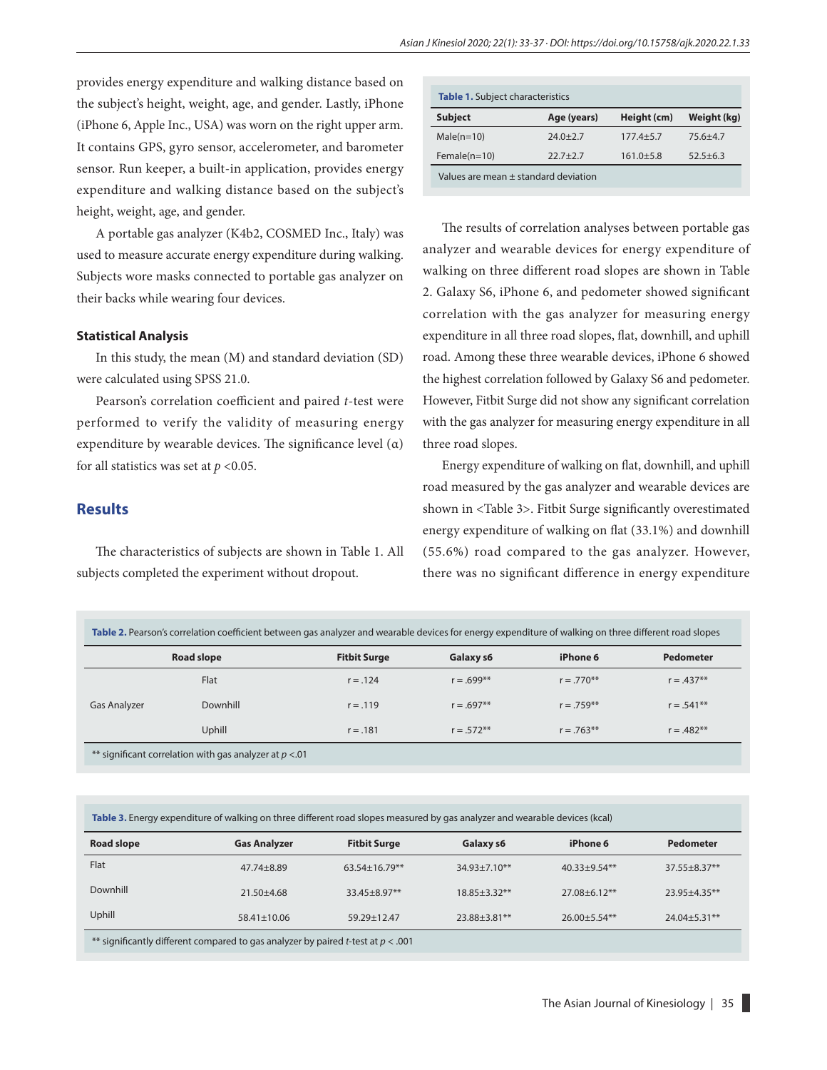provides energy expenditure and walking distance based on the subject's height, weight, age, and gender. Lastly, iPhone (iPhone 6, Apple Inc., USA) was worn on the right upper arm. It contains GPS, gyro sensor, accelerometer, and barometer sensor. Run keeper, a built-in application, provides energy expenditure and walking distance based on the subject's height, weight, age, and gender.

A portable gas analyzer (K4b2, COSMED Inc., Italy) was used to measure accurate energy expenditure during walking. Subjects wore masks connected to portable gas analyzer on their backs while wearing four devices.

#### **Statistical Analysis**

In this study, the mean (M) and standard deviation (SD) were calculated using SPSS 21.0.

Pearson's correlation coefficient and paired *t*-test were performed to verify the validity of measuring energy expenditure by wearable devices. The significance level  $(\alpha)$ for all statistics was set at  $p < 0.05$ .

#### **Results**

The characteristics of subjects are shown in Table 1. All subjects completed the experiment without dropout.

| <b>Table 1.</b> Subject characteristics |              |               |              |  |  |  |  |
|-----------------------------------------|--------------|---------------|--------------|--|--|--|--|
| <b>Subject</b>                          | Age (years)  | Height (cm)   | Weight (kg)  |  |  |  |  |
| $Male(n=10)$                            | $74.0 + 7.7$ | $177.4 + 5.7$ | $75.6 + 4.7$ |  |  |  |  |
| Female $(n=10)$                         | $22.7 + 2.7$ | $161.0 + 5.8$ | $52.5 + 6.3$ |  |  |  |  |
| Values are mean ± standard deviation    |              |               |              |  |  |  |  |

The results of correlation analyses between portable gas analyzer and wearable devices for energy expenditure of walking on three different road slopes are shown in Table 2. Galaxy S6, iPhone 6, and pedometer showed significant correlation with the gas analyzer for measuring energy expenditure in all three road slopes, flat, downhill, and uphill road. Among these three wearable devices, iPhone 6 showed the highest correlation followed by Galaxy S6 and pedometer. However, Fitbit Surge did not show any significant correlation with the gas analyzer for measuring energy expenditure in all three road slopes.

Energy expenditure of walking on flat, downhill, and uphill road measured by the gas analyzer and wearable devices are shown in <Table 3>. Fitbit Surge significantly overestimated energy expenditure of walking on flat (33.1%) and downhill (55.6%) road compared to the gas analyzer. However, there was no significant difference in energy expenditure

| Table 2. Pearson's correlation coefficient between gas analyzer and wearable devices for energy expenditure of walking on three different road slopes |            |                     |              |              |                  |  |  |
|-------------------------------------------------------------------------------------------------------------------------------------------------------|------------|---------------------|--------------|--------------|------------------|--|--|
|                                                                                                                                                       | Road slope | <b>Fitbit Surge</b> | Galaxy s6    | iPhone 6     | <b>Pedometer</b> |  |  |
|                                                                                                                                                       | Flat       | $r = .124$          | $r = .699**$ | $r = .770**$ | $r = .437**$     |  |  |
| <b>Gas Analyzer</b>                                                                                                                                   | Downhill   | $r = .119$          | $r = .697**$ | $r = 759**$  | $r = .541**$     |  |  |
|                                                                                                                                                       | Uphill     | $r = .181$          | $r = .572**$ | $r = .763**$ | $r = .482**$     |  |  |

| <b>Road slope</b>                                                                  | <b>Gas Analyzer</b> | <b>Fitbit Surge</b>  | Galaxy s6          | iPhone 6          | Pedometer           |  |  |
|------------------------------------------------------------------------------------|---------------------|----------------------|--------------------|-------------------|---------------------|--|--|
| Flat                                                                               | $47.74 + 8.89$      | $63.54 \pm 16.79$ ** | $34.93 \pm 7.10**$ | $40.33 + 9.54**$  | $37.55 + 8.37**$    |  |  |
| Downhill                                                                           | $21.50 + 4.68$      | $33.45 + 8.97**$     | $18.85 + 3.32**$   | $27.08 + 6.12**$  | $23.95 + 4.35**$    |  |  |
| Uphill                                                                             | 58.41±10.06         | $59.29 + 12.47$      | $23.88 + 3.81**$   | $26.00 + 5.54$ ** | $24.04 \pm 5.31$ ** |  |  |
| ** significantly different compared to gas analyzer by paired t-test at $p < .001$ |                     |                      |                    |                   |                     |  |  |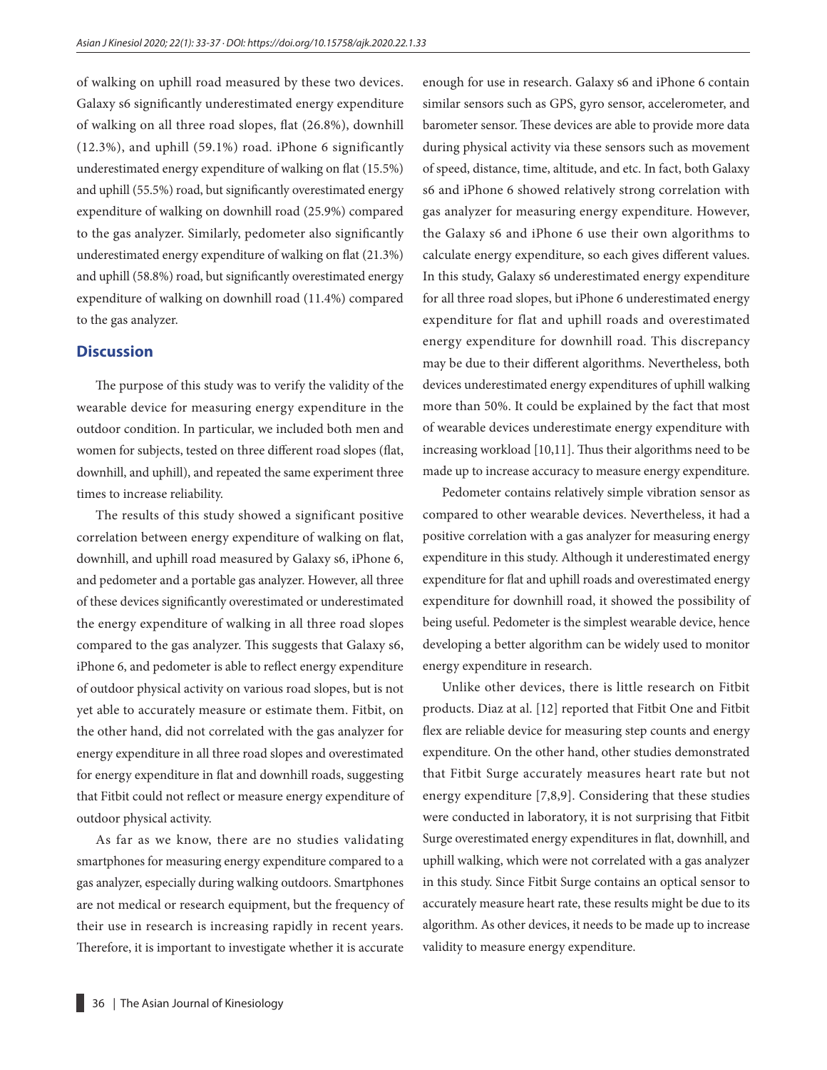of walking on uphill road measured by these two devices. Galaxy s6 significantly underestimated energy expenditure of walking on all three road slopes, flat (26.8%), downhill (12.3%), and uphill (59.1%) road. iPhone 6 significantly underestimated energy expenditure of walking on flat (15.5%) and uphill (55.5%) road, but significantly overestimated energy expenditure of walking on downhill road (25.9%) compared to the gas analyzer. Similarly, pedometer also significantly underestimated energy expenditure of walking on flat (21.3%) and uphill (58.8%) road, but significantly overestimated energy expenditure of walking on downhill road (11.4%) compared to the gas analyzer.

## **Discussion**

The purpose of this study was to verify the validity of the wearable device for measuring energy expenditure in the outdoor condition. In particular, we included both men and women for subjects, tested on three different road slopes (flat, downhill, and uphill), and repeated the same experiment three times to increase reliability.

The results of this study showed a significant positive correlation between energy expenditure of walking on flat, downhill, and uphill road measured by Galaxy s6, iPhone 6, and pedometer and a portable gas analyzer. However, all three of these devices significantly overestimated or underestimated the energy expenditure of walking in all three road slopes compared to the gas analyzer. This suggests that Galaxy s6, iPhone 6, and pedometer is able to reflect energy expenditure of outdoor physical activity on various road slopes, but is not yet able to accurately measure or estimate them. Fitbit, on the other hand, did not correlated with the gas analyzer for energy expenditure in all three road slopes and overestimated for energy expenditure in flat and downhill roads, suggesting that Fitbit could not reflect or measure energy expenditure of outdoor physical activity.

As far as we know, there are no studies validating smartphones for measuring energy expenditure compared to a gas analyzer, especially during walking outdoors. Smartphones are not medical or research equipment, but the frequency of their use in research is increasing rapidly in recent years. Therefore, it is important to investigate whether it is accurate enough for use in research. Galaxy s6 and iPhone 6 contain similar sensors such as GPS, gyro sensor, accelerometer, and barometer sensor. These devices are able to provide more data during physical activity via these sensors such as movement of speed, distance, time, altitude, and etc. In fact, both Galaxy s6 and iPhone 6 showed relatively strong correlation with gas analyzer for measuring energy expenditure. However, the Galaxy s6 and iPhone 6 use their own algorithms to calculate energy expenditure, so each gives different values. In this study, Galaxy s6 underestimated energy expenditure for all three road slopes, but iPhone 6 underestimated energy expenditure for flat and uphill roads and overestimated energy expenditure for downhill road. This discrepancy may be due to their different algorithms. Nevertheless, both devices underestimated energy expenditures of uphill walking more than 50%. It could be explained by the fact that most of wearable devices underestimate energy expenditure with increasing workload [10,11]. Thus their algorithms need to be made up to increase accuracy to measure energy expenditure.

Pedometer contains relatively simple vibration sensor as compared to other wearable devices. Nevertheless, it had a positive correlation with a gas analyzer for measuring energy expenditure in this study. Although it underestimated energy expenditure for flat and uphill roads and overestimated energy expenditure for downhill road, it showed the possibility of being useful. Pedometer is the simplest wearable device, hence developing a better algorithm can be widely used to monitor energy expenditure in research.

Unlike other devices, there is little research on Fitbit products. Diaz at al. [12] reported that Fitbit One and Fitbit flex are reliable device for measuring step counts and energy expenditure. On the other hand, other studies demonstrated that Fitbit Surge accurately measures heart rate but not energy expenditure [7,8,9]. Considering that these studies were conducted in laboratory, it is not surprising that Fitbit Surge overestimated energy expenditures in flat, downhill, and uphill walking, which were not correlated with a gas analyzer in this study. Since Fitbit Surge contains an optical sensor to accurately measure heart rate, these results might be due to its algorithm. As other devices, it needs to be made up to increase validity to measure energy expenditure.